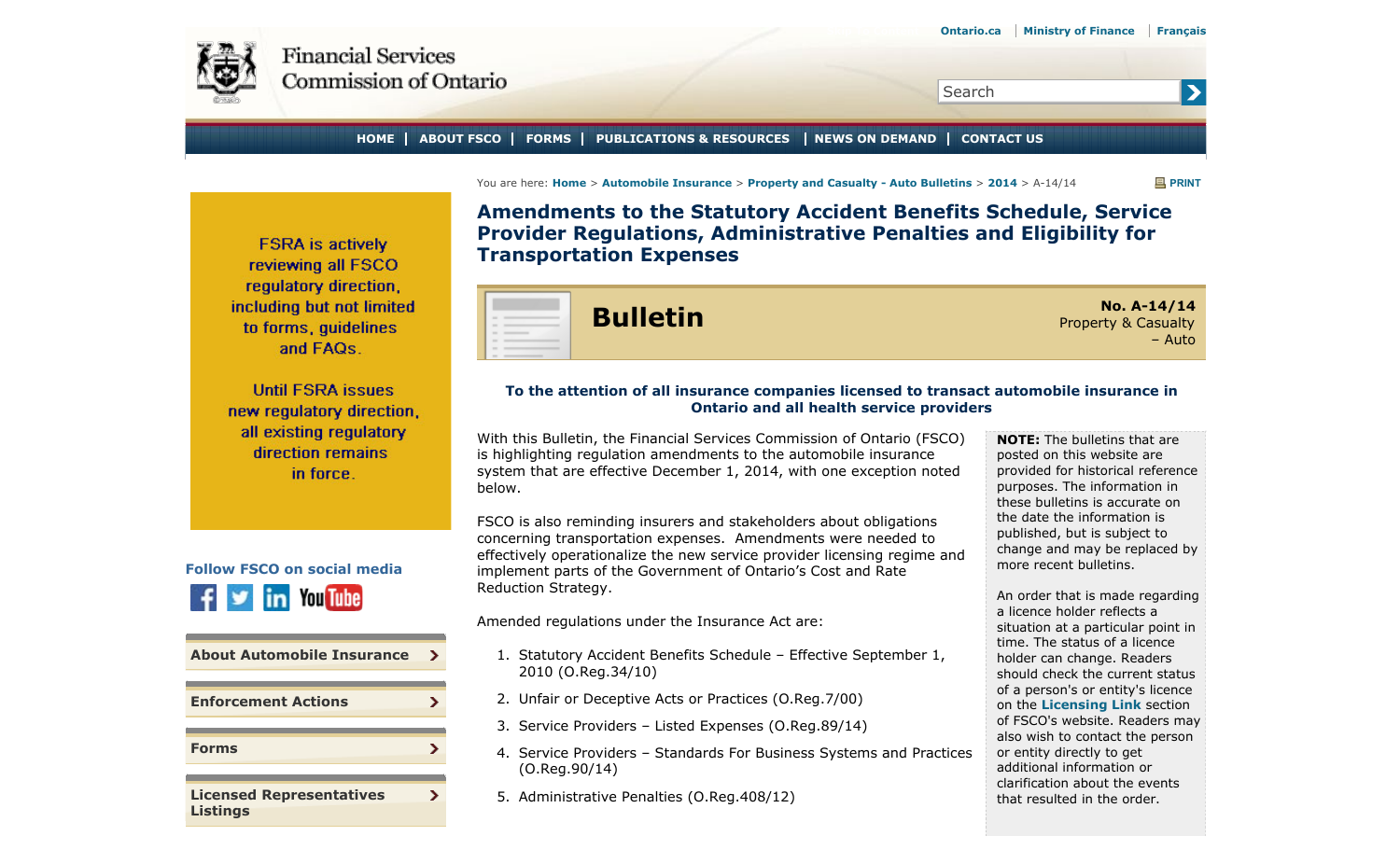<span id="page-0-0"></span>

Search

**HOME ABOUT FSCO FORMS PUBLICATIONS & RESOURCES NEWS ON DEMAND CONTACT US**

You are here: **Home** > **Automobile Insurance** > **Property and Casualty - Auto Bulletins** > **2014** > A-14/14 **PRINT**

 $\blacktriangleright$ 

– Auto

**Amendments to the Statutory Accident Benefits Schedule, Service Provider Regulations, Administrative Penalties and Eligibility for Transportation Expenses**

reviewing all FSCO regulatory direction. including but not limited to forms, quidelines and FAQs.

**FSRA** is actively

**Until FSRA issues** new regulatory direction, all existing regulatory direction remains in force.



| <b>About Automobile Insurance</b>                  |  |
|----------------------------------------------------|--|
| <b>Enforcement Actions</b>                         |  |
| <b>Forms</b>                                       |  |
| <b>Licensed Representatives</b><br><b>Listings</b> |  |

#### **To the attention of all insurance companies licensed to transact automobile insurance in Ontario and all health service providers**

**Bulletin No. A-14/14**<br>**Bulletin Report A** Casualty

With this Bulletin, the Financial Services Commission of Ontario (FSCO) is highlighting regulation amendments to the automobile insurance system that are effective December 1, 2014, with one exception noted below.

FSCO is also reminding insurers and stakeholders about obligations concerning transportation expenses. Amendments were needed to effectively operationalize the new service provider licensing regime and implement parts of the Government of Ontario's Cost and Rate Reduction Strategy.

Amended regulations under the Insurance Act are:

- 1. Statutory Accident Benefits Schedule Effective September 1, 2010 (O.Reg.34/10)
- 2. Unfair or Deceptive Acts or Practices (O.Reg.7/00)
- 3. Service Providers Listed Expenses (O.Reg.89/14)
- 4. Service Providers Standards For Business Systems and Practices (O.Reg.90/14)
- 5. Administrative Penalties (O.Reg.408/12)

**NOTE:** The bulletins that are posted on this website are provided for historical reference purposes. The information in these bulletins is accurate on the date the information is published, but is subject to change and may be replaced by more recent bulletins.

Property & Casualty

An order that is made regarding a licence holder reflects a situation at a particular point in time. The status of a licence holder can change. Readers should check the current status of a person's or entity's licence on the **Licensing Link** section of FSCO's website. Readers may also wish to contact the person or entity directly to get additional information or clarification about the events that resulted in the order.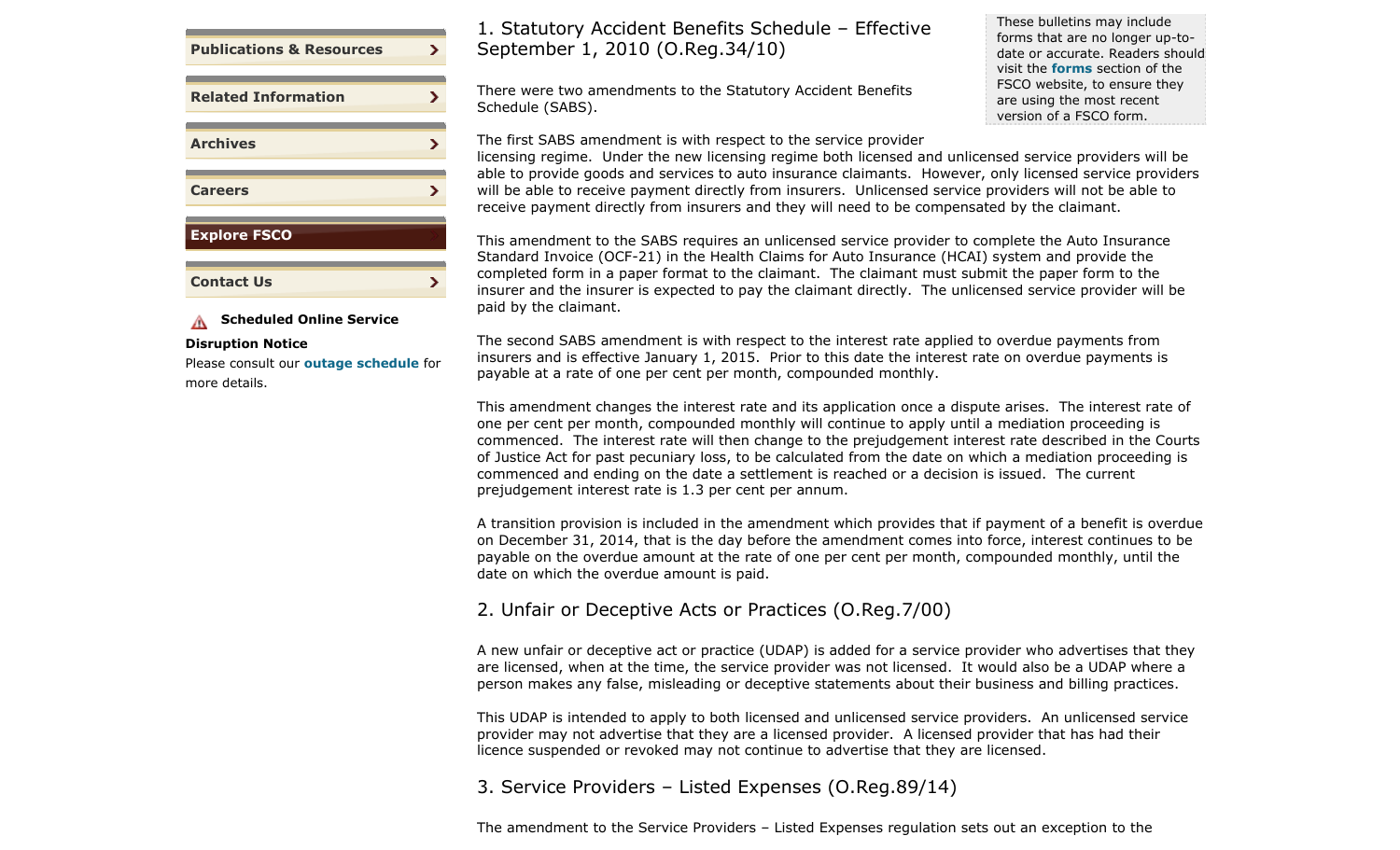

#### **Disruption Notice**

Please consult our **outage schedule** for more details.

1. Statutory Accident Benefits Schedule – Effective September 1, 2010 (O.Reg.34/10)

There were two amendments to the Statutory Accident Benefits Schedule (SABS).

The first SABS amendment is with respect to the service provider

licensing regime. Under the new licensing regime both licensed and unlicensed service providers will be able to provide goods and services to auto insurance claimants. However, only licensed service providers will be able to receive payment directly from insurers. Unlicensed service providers will not be able to receive payment directly from insurers and they will need to be compensated by the claimant.

These bulletins may include forms that are no longer up-todate or accurate. Readers should visit the **forms** section of the FSCO website, to ensure they are using the most recent version of a FSCO form.

This amendment to the SABS requires an unlicensed service provider to complete the Auto Insurance Standard Invoice (OCF-21) in the Health Claims for Auto Insurance (HCAI) system and provide the completed form in a paper format to the claimant. The claimant must submit the paper form to the insurer and the insurer is expected to pay the claimant directly. The unlicensed service provider will be paid by the claimant.

The second SABS amendment is with respect to the interest rate applied to overdue payments from insurers and is effective January 1, 2015. Prior to this date the interest rate on overdue payments is payable at a rate of one per cent per month, compounded monthly.

This amendment changes the interest rate and its application once a dispute arises. The interest rate of one per cent per month, compounded monthly will continue to apply until a mediation proceeding is commenced. The interest rate will then change to the prejudgement interest rate described in the Courts of Justice Act for past pecuniary loss, to be calculated from the date on which a mediation proceeding is commenced and ending on the date a settlement is reached or a decision is issued. The current prejudgement interest rate is 1.3 per cent per annum.

A transition provision is included in the amendment which provides that if payment of a benefit is overdue on December 31, 2014, that is the day before the amendment comes into force, interest continues to be payable on the overdue amount at the rate of one per cent per month, compounded monthly, until the date on which the overdue amount is paid.

# 2. Unfair or Deceptive Acts or Practices (O.Reg.7/00)

A new unfair or deceptive act or practice (UDAP) is added for a service provider who advertises that they are licensed, when at the time, the service provider was not licensed. It would also be a UDAP where a person makes any false, misleading or deceptive statements about their business and billing practices.

This UDAP is intended to apply to both licensed and unlicensed service providers. An unlicensed service provider may not advertise that they are a licensed provider. A licensed provider that has had their licence suspended or revoked may not continue to advertise that they are licensed.

3. Service Providers – Listed Expenses (O.Reg.89/14)

The amendment to the Service Providers – Listed Expenses regulation sets out an exception to the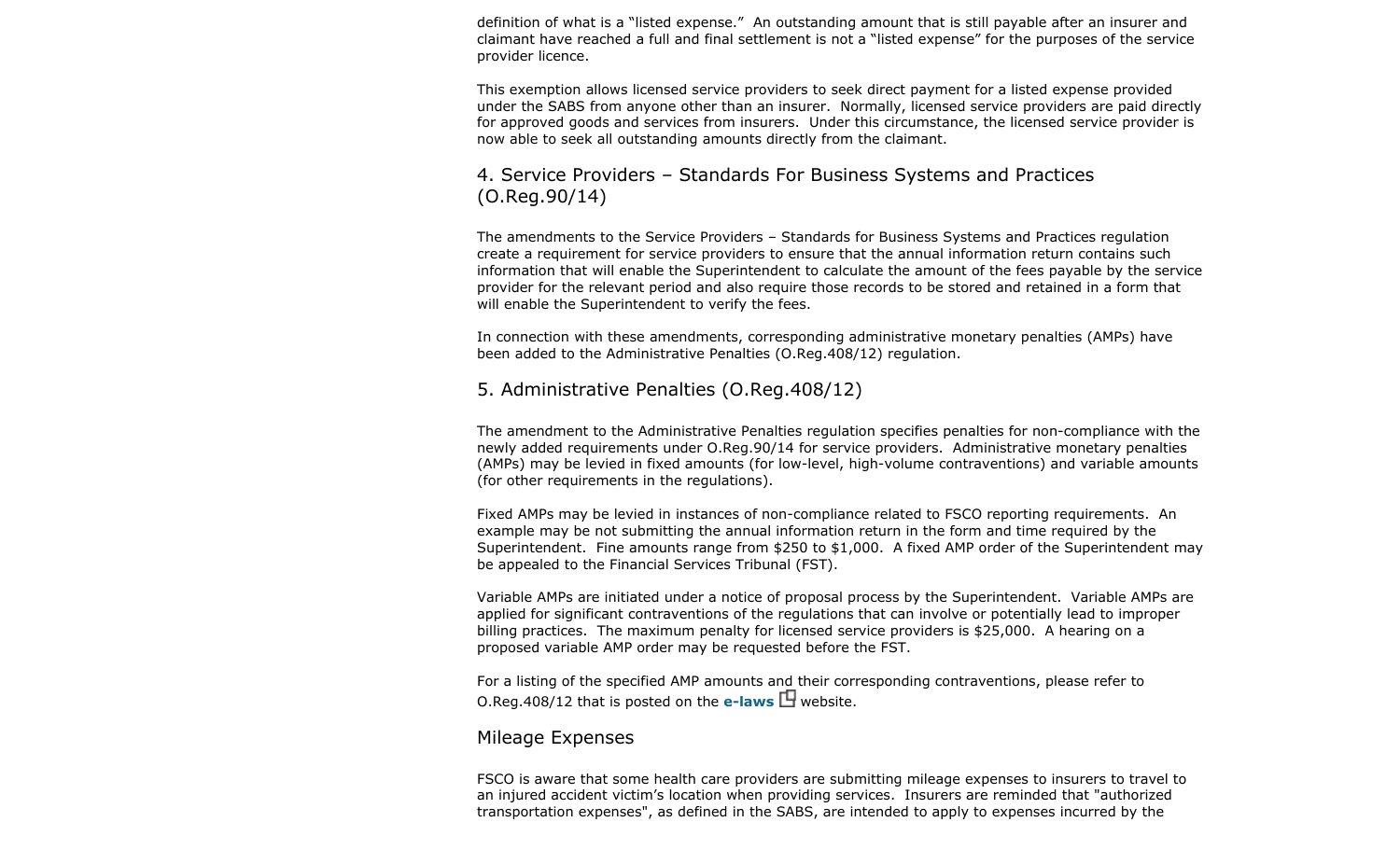definition of what is a "listed expense." An outstanding amount that is still payable after an insurer and claimant have reached a full and final settlement is not a "listed expense" for the purposes of the service provider licence.

This exemption allows licensed service providers to seek direct payment for a listed expense provided under the SABS from anyone other than an insurer. Normally, licensed service providers are paid directly for approved goods and services from insurers. Under this circumstance, the licensed service provider is now able to seek all outstanding amounts directly from the claimant.

# 4. Service Providers – Standards For Business Systems and Practices (O.Reg.90/14)

The amendments to the Service Providers – Standards for Business Systems and Practices regulation create a requirement for service providers to ensure that the annual information return contains such information that will enable the Superintendent to calculate the amount of the fees payable by the service provider for the relevant period and also require those records to be stored and retained in a form that will enable the Superintendent to verify the fees.

In connection with these amendments, corresponding administrative monetary penalties (AMPs) have been added to the Administrative Penalties (O.Reg.408/12) regulation.

## 5. Administrative Penalties (O.Reg.408/12)

The amendment to the Administrative Penalties regulation specifies penalties for non-compliance with the newly added requirements under O.Reg.90/14 for service providers. Administrative monetary penalties (AMPs) may be levied in fixed amounts (for low-level, high-volume contraventions) and variable amounts (for other requirements in the regulations).

Fixed AMPs may be levied in instances of non-compliance related to FSCO reporting requirements. An example may be not submitting the annual information return in the form and time required by the Superintendent. Fine amounts range from \$250 to \$1,000. A fixed AMP order of the Superintendent may be appealed to the Financial Services Tribunal (FST).

Variable AMPs are initiated under a notice of proposal process by the Superintendent. Variable AMPs are applied for significant contraventions of the regulations that can involve or potentially lead to improper billing practices. The maximum penalty for licensed service providers is \$25,000. A hearing on a proposed variable AMP order may be requested before the FST.

For a listing of the specified AMP amounts and their corresponding contraventions, please refer to O.Reg.408/12 that is posted on the **e-laws**  $\mathbb{D}$  website.

### Mileage Expenses

FSCO is aware that some health care providers are submitting mileage expenses to insurers to travel to an injured accident victim's location when providing services. Insurers are reminded that "authorized transportation expenses", as defined in the SABS, are intended to apply to expenses incurred by the